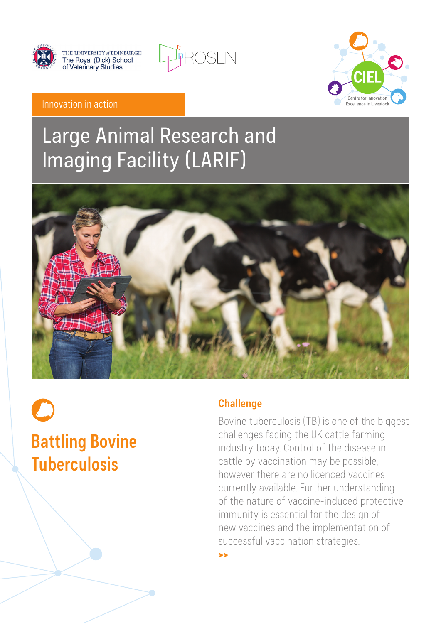

THE UNIVERSITY of EDINBURGH<br>The Royal (Dick) School<br>of Veterinary Studies





#### Innovation in action

## Large Animal Research and Imaging Facility (LARIF)



# **Battling Bovine Tuberculosis**

#### **Challenge**

>>

Bovine tuberculosis (TB) is one of the biggest challenges facing the UK cattle farming industry today. Control of the disease in cattle by vaccination may be possible, however there are no licenced vaccines currently available. Further understanding of the nature of vaccine-induced protective immunity is essential for the design of new vaccines and the implementation of successful vaccination strategies.